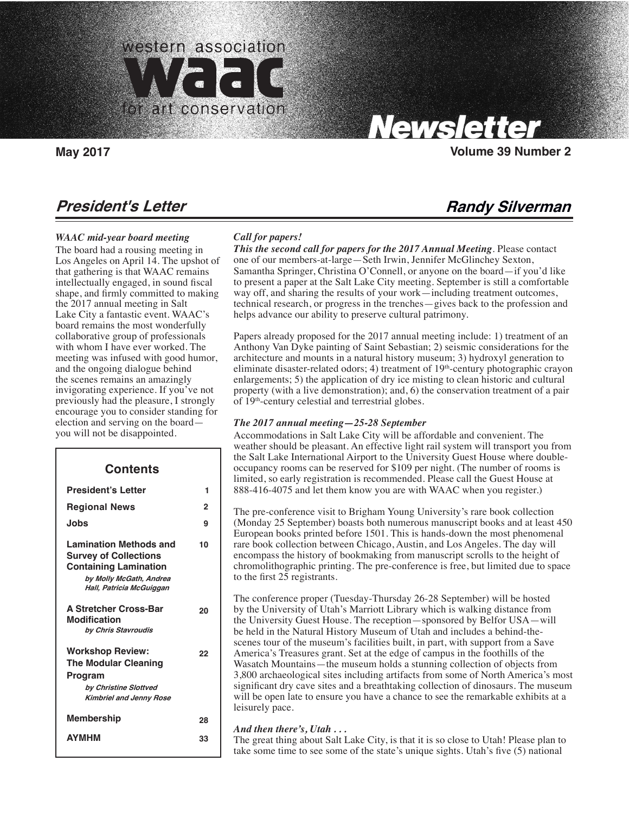

Carolyn Tallent, Editor

# **President's Letter**

### *WAAC mid-year board meeting*

The board had a rousing meeting in Los Angeles on April 14. The upshot of that gathering is that WAAC remains intellectually engaged, in sound fiscal shape, and firmly committed to making the 2017 annual meeting in Salt Lake City a fantastic event. WAAC's board remains the most wonderfully collaborative group of professionals with whom I have ever worked. The meeting was infused with good humor, and the ongoing dialogue behind the scenes remains an amazingly invigorating experience. If you've not previously had the pleasure, I strongly encourage you to consider standing for election and serving on the board you will not be disappointed.

# **Contents**

 $\overline{\phantom{a}}$ 

| <b>President's Letter</b>                                                                                                                            | 1  |
|------------------------------------------------------------------------------------------------------------------------------------------------------|----|
| <b>Regional News</b>                                                                                                                                 | 2  |
| Jobs                                                                                                                                                 | 9  |
| <b>Lamination Methods and</b><br><b>Survey of Collections</b><br><b>Containing Lamination</b><br>by Molly McGath, Andrea<br>Hall, Patricia McGuiggan | 10 |
| <b>A Stretcher Cross-Bar</b><br><b>Modification</b><br>by Chris Stavroudis                                                                           | 20 |
| <b>Workshop Review:</b><br><b>The Modular Cleaning</b><br>Program<br>by Christine Slottved<br><b>Kimbriel and Jenny Rose</b>                         | 22 |
| Membership                                                                                                                                           | 28 |
| <b>AYMHM</b>                                                                                                                                         | 33 |

### *Call for papers!*

*This the second call for papers for the 2017 Annual Meeting*. Please contact one of our members-at-large—Seth Irwin, Jennifer McGlinchey Sexton, Samantha Springer, Christina O'Connell, or anyone on the board—if you'd like to present a paper at the Salt Lake City meeting. September is still a comfortable way off, and sharing the results of your work—including treatment outcomes, technical research, or progress in the trenches—gives back to the profession and helps advance our ability to preserve cultural patrimony.

Papers already proposed for the 2017 annual meeting include: 1) treatment of an Anthony Van Dyke painting of Saint Sebastian; 2) seismic considerations for the architecture and mounts in a natural history museum; 3) hydroxyl generation to eliminate disaster-related odors; 4) treatment of  $19<sup>th</sup>$ -century photographic crayon enlargements; 5) the application of dry ice misting to clean historic and cultural property (with a live demonstration); and, 6) the conservation treatment of a pair of 19th-century celestial and terrestrial globes.

### *The 2017 annual meeting***—***25-28 September*

Accommodations in Salt Lake City will be affordable and convenient. The weather should be pleasant. An effective light rail system will transport you from the Salt Lake International Airport to the University Guest House where doubleoccupancy rooms can be reserved for \$109 per night. (The number of rooms is limited, so early registration is recommended. Please call the Guest House at 888-416-4075 and let them know you are with WAAC when you register.)

The pre-conference visit to Brigham Young University's rare book collection (Monday 25 September) boasts both numerous manuscript books and at least 450 European books printed before 1501. This is hands-down the most phenomenal rare book collection between Chicago, Austin, and Los Angeles. The day will encompass the history of bookmaking from manuscript scrolls to the height of chromolithographic printing. The pre-conference is free, but limited due to space to the first 25 registrants.

The conference proper (Tuesday-Thursday 26-28 September) will be hosted by the University of Utah's Marriott Library which is walking distance from the University Guest House. The reception—sponsored by Belfor USA—will be held in the Natural History Museum of Utah and includes a behind-thescenes tour of the museum's facilities built, in part, with support from a Save America's Treasures grant. Set at the edge of campus in the foothills of the Wasatch Mountains—the museum holds a stunning collection of objects from 3,800 archaeological sites including artifacts from some of North America's most significant dry cave sites and a breathtaking collection of dinosaurs. The museum will be open late to ensure you have a chance to see the remarkable exhibits at a leisurely pace.

### *And then there's, Utah . . .*

The great thing about Salt Lake City, is that it is so close to Utah! Please plan to take some time to see some of the state's unique sights. Utah's five (5) national

# **Randy Silverman**

**May 2017 Volume 39 Number 2**

**Newsletter**